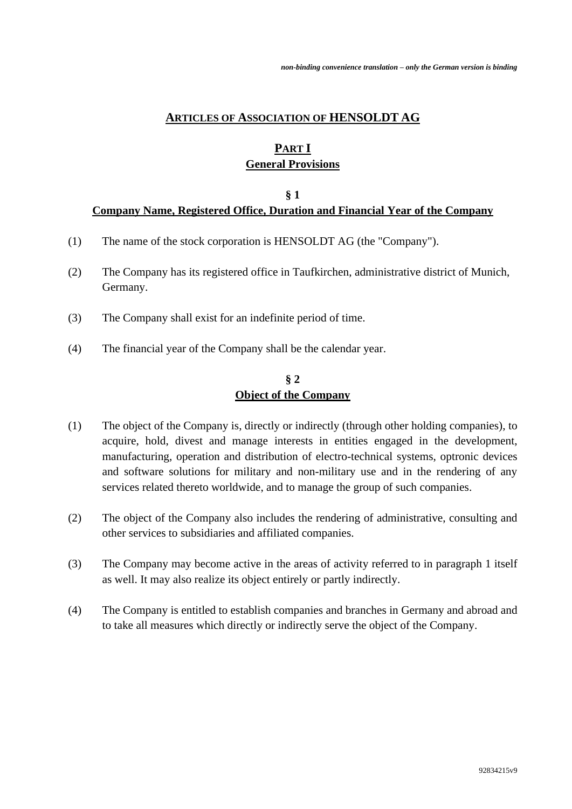## **ARTICLES OF ASSOCIATION OF HENSOLDT AG**

# **PART I General Provisions**

#### **§ 1 Company Name, Registered Office, Duration and Financial Year of the Company**

- (1) The name of the stock corporation is HENSOLDT AG (the "Company").
- (2) The Company has its registered office in Taufkirchen, administrative district of Munich, Germany.
- (3) The Company shall exist for an indefinite period of time.
- (4) The financial year of the Company shall be the calendar year.

### **§ 2 Object of the Company**

- (1) The object of the Company is, directly or indirectly (through other holding companies), to acquire, hold, divest and manage interests in entities engaged in the development, manufacturing, operation and distribution of electro-technical systems, optronic devices and software solutions for military and non-military use and in the rendering of any services related thereto worldwide, and to manage the group of such companies.
- (2) The object of the Company also includes the rendering of administrative, consulting and other services to subsidiaries and affiliated companies.
- (3) The Company may become active in the areas of activity referred to in paragraph 1 itself as well. It may also realize its object entirely or partly indirectly.
- (4) The Company is entitled to establish companies and branches in Germany and abroad and to take all measures which directly or indirectly serve the object of the Company.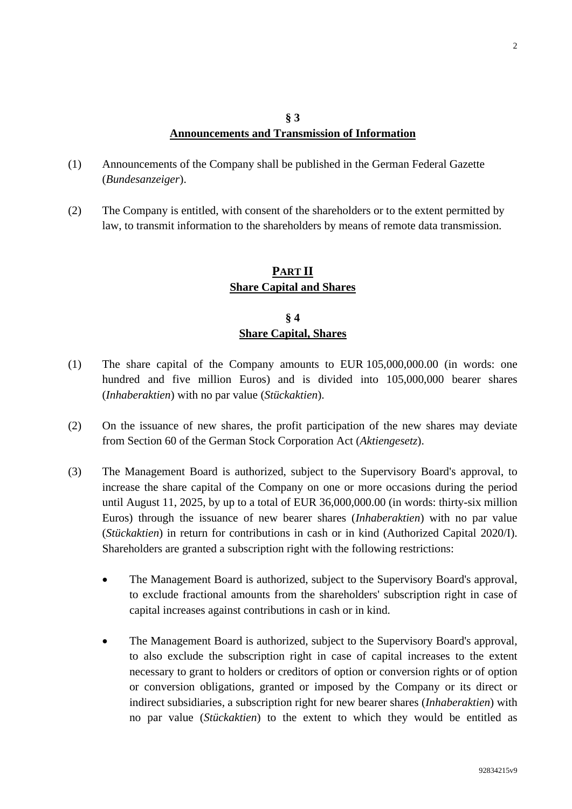## **§ 3 Announcements and Transmission of Information**

- (1) Announcements of the Company shall be published in the German Federal Gazette (*Bundesanzeiger*).
- (2) The Company is entitled, with consent of the shareholders or to the extent permitted by law, to transmit information to the shareholders by means of remote data transmission.

## **PART II Share Capital and Shares**

## **§ 4 Share Capital, Shares**

- (1) The share capital of the Company amounts to EUR 105,000,000.00 (in words: one hundred and five million Euros) and is divided into 105,000,000 bearer shares (*Inhaberaktien*) with no par value (*Stückaktien*).
- (2) On the issuance of new shares, the profit participation of the new shares may deviate from Section 60 of the German Stock Corporation Act (*Aktiengesetz*).
- (3) The Management Board is authorized, subject to the Supervisory Board's approval, to increase the share capital of the Company on one or more occasions during the period until August 11, 2025, by up to a total of EUR 36,000,000.00 (in words: thirty-six million Euros) through the issuance of new bearer shares (*Inhaberaktien*) with no par value (*Stückaktien*) in return for contributions in cash or in kind (Authorized Capital 2020/I). Shareholders are granted a subscription right with the following restrictions:
	- The Management Board is authorized, subject to the Supervisory Board's approval, to exclude fractional amounts from the shareholders' subscription right in case of capital increases against contributions in cash or in kind.
	- The Management Board is authorized, subject to the Supervisory Board's approval, to also exclude the subscription right in case of capital increases to the extent necessary to grant to holders or creditors of option or conversion rights or of option or conversion obligations, granted or imposed by the Company or its direct or indirect subsidiaries, a subscription right for new bearer shares (*Inhaberaktien*) with no par value (*Stückaktien*) to the extent to which they would be entitled as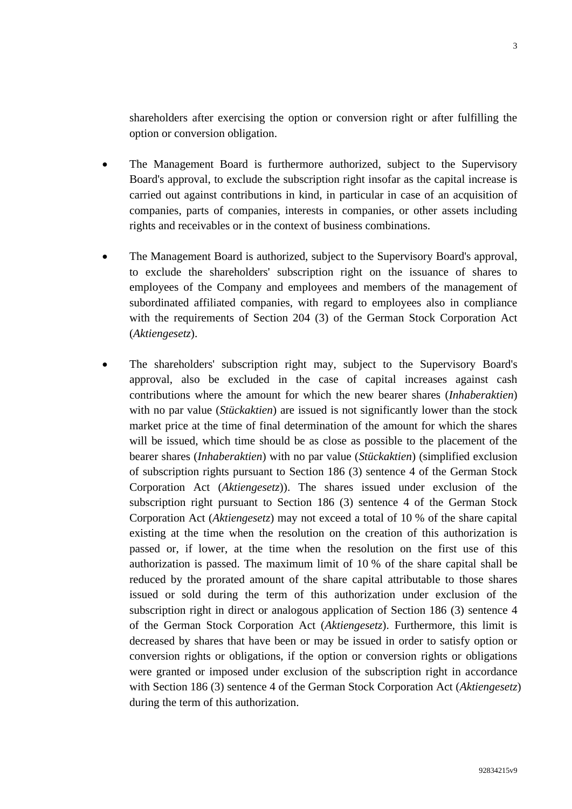shareholders after exercising the option or conversion right or after fulfilling the option or conversion obligation.

- The Management Board is furthermore authorized, subject to the Supervisory Board's approval, to exclude the subscription right insofar as the capital increase is carried out against contributions in kind, in particular in case of an acquisition of companies, parts of companies, interests in companies, or other assets including rights and receivables or in the context of business combinations.
- The Management Board is authorized, subject to the Supervisory Board's approval, to exclude the shareholders' subscription right on the issuance of shares to employees of the Company and employees and members of the management of subordinated affiliated companies, with regard to employees also in compliance with the requirements of Section 204 (3) of the German Stock Corporation Act (*Aktiengesetz*).
- The shareholders' subscription right may, subject to the Supervisory Board's approval, also be excluded in the case of capital increases against cash contributions where the amount for which the new bearer shares (*Inhaberaktien*) with no par value (*Stückaktien*) are issued is not significantly lower than the stock market price at the time of final determination of the amount for which the shares will be issued, which time should be as close as possible to the placement of the bearer shares (*Inhaberaktien*) with no par value (*Stückaktien*) (simplified exclusion of subscription rights pursuant to Section 186 (3) sentence 4 of the German Stock Corporation Act (*Aktiengesetz*)). The shares issued under exclusion of the subscription right pursuant to Section 186 (3) sentence 4 of the German Stock Corporation Act (*Aktiengesetz*) may not exceed a total of 10 % of the share capital existing at the time when the resolution on the creation of this authorization is passed or, if lower, at the time when the resolution on the first use of this authorization is passed. The maximum limit of 10 % of the share capital shall be reduced by the prorated amount of the share capital attributable to those shares issued or sold during the term of this authorization under exclusion of the subscription right in direct or analogous application of Section 186 (3) sentence 4 of the German Stock Corporation Act (*Aktiengesetz*). Furthermore, this limit is decreased by shares that have been or may be issued in order to satisfy option or conversion rights or obligations, if the option or conversion rights or obligations were granted or imposed under exclusion of the subscription right in accordance with Section 186 (3) sentence 4 of the German Stock Corporation Act (*Aktiengesetz*) during the term of this authorization.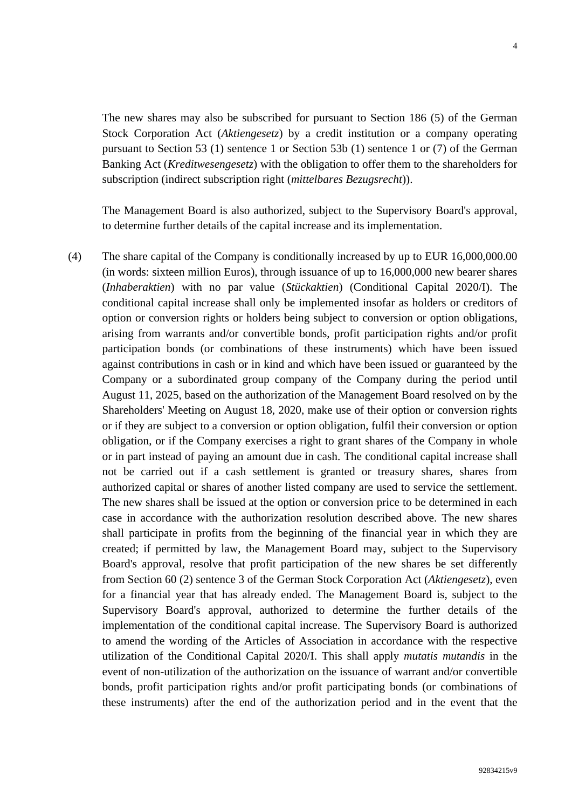The new shares may also be subscribed for pursuant to Section 186 (5) of the German Stock Corporation Act (*Aktiengesetz*) by a credit institution or a company operating pursuant to Section 53 (1) sentence 1 or Section 53b (1) sentence 1 or (7) of the German Banking Act (*Kreditwesengesetz*) with the obligation to offer them to the shareholders for subscription (indirect subscription right (*mittelbares Bezugsrecht*)).

The Management Board is also authorized, subject to the Supervisory Board's approval, to determine further details of the capital increase and its implementation.

(4) The share capital of the Company is conditionally increased by up to EUR 16,000,000.00 (in words: sixteen million Euros), through issuance of up to 16,000,000 new bearer shares (*Inhaberaktien*) with no par value (*Stückaktien*) (Conditional Capital 2020/I). The conditional capital increase shall only be implemented insofar as holders or creditors of option or conversion rights or holders being subject to conversion or option obligations, arising from warrants and/or convertible bonds, profit participation rights and/or profit participation bonds (or combinations of these instruments) which have been issued against contributions in cash or in kind and which have been issued or guaranteed by the Company or a subordinated group company of the Company during the period until August 11, 2025, based on the authorization of the Management Board resolved on by the Shareholders' Meeting on August 18, 2020, make use of their option or conversion rights or if they are subject to a conversion or option obligation, fulfil their conversion or option obligation, or if the Company exercises a right to grant shares of the Company in whole or in part instead of paying an amount due in cash. The conditional capital increase shall not be carried out if a cash settlement is granted or treasury shares, shares from authorized capital or shares of another listed company are used to service the settlement. The new shares shall be issued at the option or conversion price to be determined in each case in accordance with the authorization resolution described above. The new shares shall participate in profits from the beginning of the financial year in which they are created; if permitted by law, the Management Board may, subject to the Supervisory Board's approval, resolve that profit participation of the new shares be set differently from Section 60 (2) sentence 3 of the German Stock Corporation Act (*Aktiengesetz*), even for a financial year that has already ended. The Management Board is, subject to the Supervisory Board's approval, authorized to determine the further details of the implementation of the conditional capital increase. The Supervisory Board is authorized to amend the wording of the Articles of Association in accordance with the respective utilization of the Conditional Capital 2020/I. This shall apply *mutatis mutandis* in the event of non-utilization of the authorization on the issuance of warrant and/or convertible bonds, profit participation rights and/or profit participating bonds (or combinations of these instruments) after the end of the authorization period and in the event that the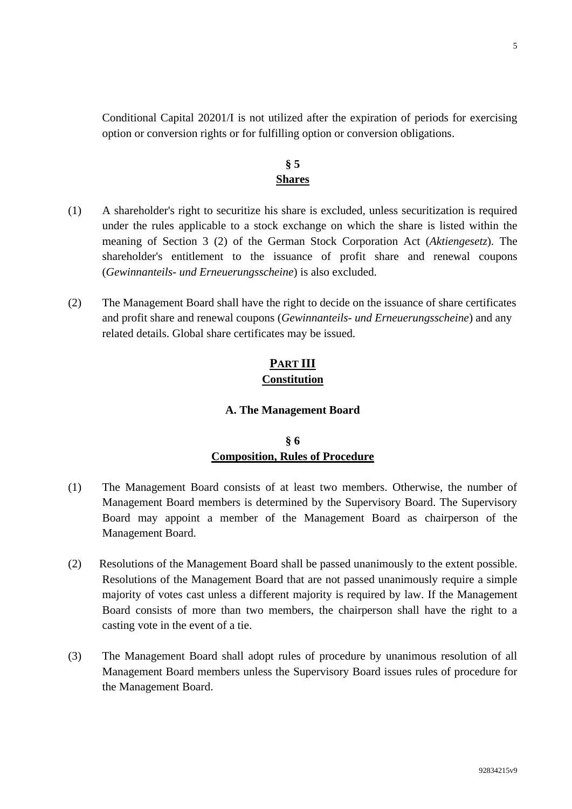Conditional Capital 20201/I is not utilized after the expiration of periods for exercising option or conversion rights or for fulfilling option or conversion obligations.

## **§ 5 Shares**

- (1) A shareholder's right to securitize his share is excluded, unless securitization is required under the rules applicable to a stock exchange on which the share is listed within the meaning of Section 3 (2) of the German Stock Corporation Act (*Aktiengesetz*). The shareholder's entitlement to the issuance of profit share and renewal coupons (*Gewinnanteils- und Erneuerungsscheine*) is also excluded.
- (2) The Management Board shall have the right to decide on the issuance of share certificates and profit share and renewal coupons (*Gewinnanteils- und Erneuerungsscheine*) and any related details. Global share certificates may be issued.

# **PART III Constitution**

#### **A. The Management Board**

## **§ 6 Composition, Rules of Procedure**

- (1) The Management Board consists of at least two members. Otherwise, the number of Management Board members is determined by the Supervisory Board. The Supervisory Board may appoint a member of the Management Board as chairperson of the Management Board.
- (2) Resolutions of the Management Board shall be passed unanimously to the extent possible. Resolutions of the Management Board that are not passed unanimously require a simple majority of votes cast unless a different majority is required by law. If the Management Board consists of more than two members, the chairperson shall have the right to a casting vote in the event of a tie.
- (3) The Management Board shall adopt rules of procedure by unanimous resolution of all Management Board members unless the Supervisory Board issues rules of procedure for the Management Board.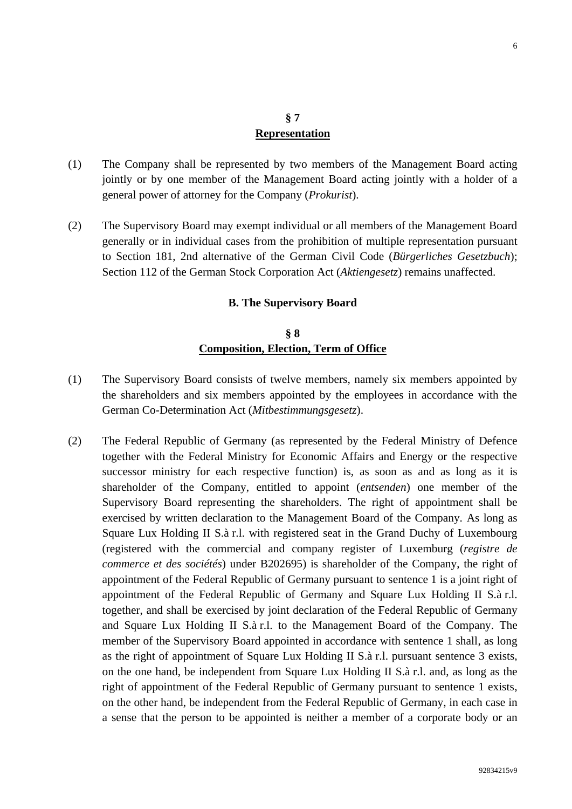#### **§ 7 Representation**

- (1) The Company shall be represented by two members of the Management Board acting jointly or by one member of the Management Board acting jointly with a holder of a general power of attorney for the Company (*Prokurist*).
- (2) The Supervisory Board may exempt individual or all members of the Management Board generally or in individual cases from the prohibition of multiple representation pursuant to Section 181, 2nd alternative of the German Civil Code (*Bürgerliches Gesetzbuch*); Section 112 of the German Stock Corporation Act (*Aktiengesetz*) remains unaffected.

#### **B. The Supervisory Board**

## **§ 8 Composition, Election, Term of Office**

- (1) The Supervisory Board consists of twelve members, namely six members appointed by the shareholders and six members appointed by the employees in accordance with the German Co-Determination Act (*Mitbestimmungsgesetz*).
- (2) The Federal Republic of Germany (as represented by the Federal Ministry of Defence together with the Federal Ministry for Economic Affairs and Energy or the respective successor ministry for each respective function) is, as soon as and as long as it is shareholder of the Company, entitled to appoint (*entsenden*) one member of the Supervisory Board representing the shareholders. The right of appointment shall be exercised by written declaration to the Management Board of the Company. As long as Square Lux Holding II S.à r.l. with registered seat in the Grand Duchy of Luxembourg (registered with the commercial and company register of Luxemburg (*registre de commerce et des sociétés*) under B202695) is shareholder of the Company, the right of appointment of the Federal Republic of Germany pursuant to sentence 1 is a joint right of appointment of the Federal Republic of Germany and Square Lux Holding II S.à r.l. together, and shall be exercised by joint declaration of the Federal Republic of Germany and Square Lux Holding II S.à r.l. to the Management Board of the Company. The member of the Supervisory Board appointed in accordance with sentence 1 shall, as long as the right of appointment of Square Lux Holding II S.à r.l. pursuant sentence 3 exists, on the one hand, be independent from Square Lux Holding II S.à r.l. and, as long as the right of appointment of the Federal Republic of Germany pursuant to sentence 1 exists, on the other hand, be independent from the Federal Republic of Germany, in each case in a sense that the person to be appointed is neither a member of a corporate body or an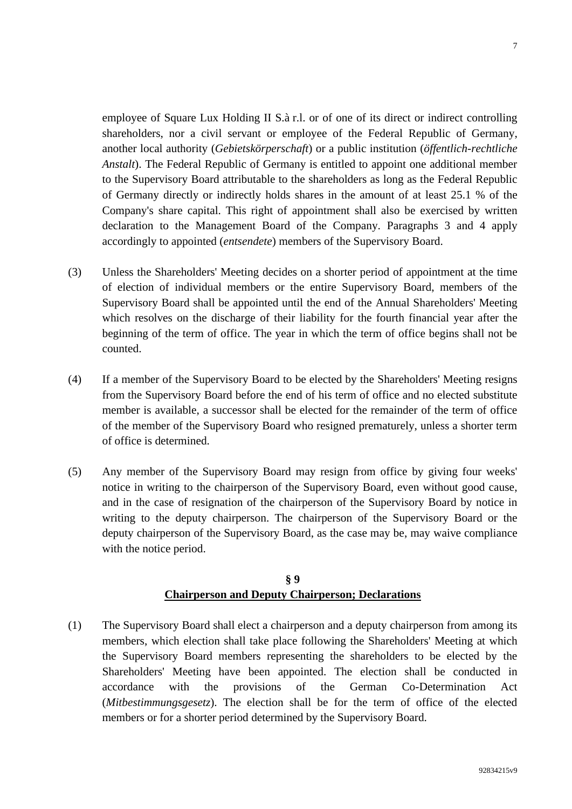employee of Square Lux Holding II S.à r.l. or of one of its direct or indirect controlling shareholders, nor a civil servant or employee of the Federal Republic of Germany, another local authority (*Gebietskörperschaft*) or a public institution (*öffentlich-rechtliche Anstalt*). The Federal Republic of Germany is entitled to appoint one additional member to the Supervisory Board attributable to the shareholders as long as the Federal Republic of Germany directly or indirectly holds shares in the amount of at least 25.1 % of the Company's share capital. This right of appointment shall also be exercised by written declaration to the Management Board of the Company. Paragraphs 3 and 4 apply accordingly to appointed (*entsendete*) members of the Supervisory Board.

- (3) Unless the Shareholders' Meeting decides on a shorter period of appointment at the time of election of individual members or the entire Supervisory Board, members of the Supervisory Board shall be appointed until the end of the Annual Shareholders' Meeting which resolves on the discharge of their liability for the fourth financial year after the beginning of the term of office. The year in which the term of office begins shall not be counted.
- (4) If a member of the Supervisory Board to be elected by the Shareholders' Meeting resigns from the Supervisory Board before the end of his term of office and no elected substitute member is available, a successor shall be elected for the remainder of the term of office of the member of the Supervisory Board who resigned prematurely, unless a shorter term of office is determined.
- (5) Any member of the Supervisory Board may resign from office by giving four weeks' notice in writing to the chairperson of the Supervisory Board, even without good cause, and in the case of resignation of the chairperson of the Supervisory Board by notice in writing to the deputy chairperson. The chairperson of the Supervisory Board or the deputy chairperson of the Supervisory Board, as the case may be, may waive compliance with the notice period.

## **§ 9 Chairperson and Deputy Chairperson; Declarations**

(1) The Supervisory Board shall elect a chairperson and a deputy chairperson from among its members, which election shall take place following the Shareholders' Meeting at which the Supervisory Board members representing the shareholders to be elected by the Shareholders' Meeting have been appointed. The election shall be conducted in accordance with the provisions of the German Co-Determination Act (*Mitbestimmungsgesetz*). The election shall be for the term of office of the elected members or for a shorter period determined by the Supervisory Board.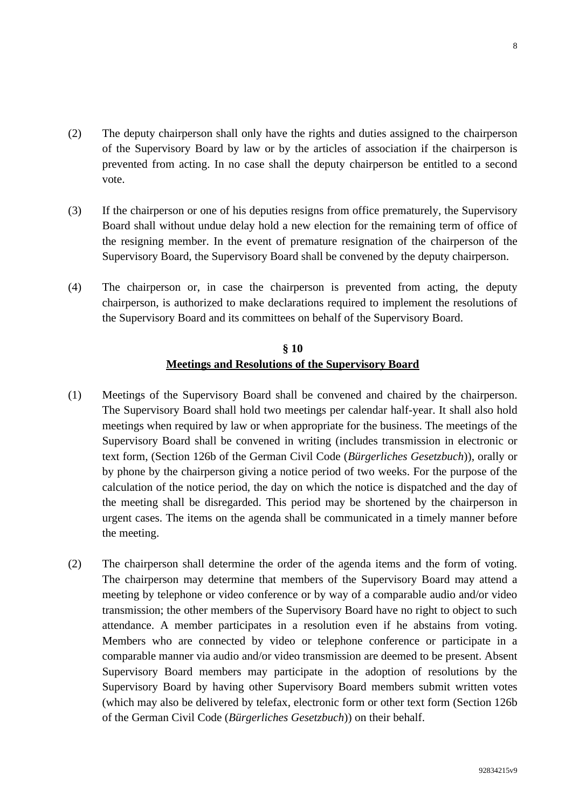- (2) The deputy chairperson shall only have the rights and duties assigned to the chairperson of the Supervisory Board by law or by the articles of association if the chairperson is prevented from acting. In no case shall the deputy chairperson be entitled to a second vote.
- (3) If the chairperson or one of his deputies resigns from office prematurely, the Supervisory Board shall without undue delay hold a new election for the remaining term of office of the resigning member. In the event of premature resignation of the chairperson of the Supervisory Board, the Supervisory Board shall be convened by the deputy chairperson.
- (4) The chairperson or, in case the chairperson is prevented from acting, the deputy chairperson, is authorized to make declarations required to implement the resolutions of the Supervisory Board and its committees on behalf of the Supervisory Board.

## **§ 10 Meetings and Resolutions of the Supervisory Board**

- (1) Meetings of the Supervisory Board shall be convened and chaired by the chairperson. The Supervisory Board shall hold two meetings per calendar half-year. It shall also hold meetings when required by law or when appropriate for the business. The meetings of the Supervisory Board shall be convened in writing (includes transmission in electronic or text form, (Section 126b of the German Civil Code (*Bürgerliches Gesetzbuch*)), orally or by phone by the chairperson giving a notice period of two weeks. For the purpose of the calculation of the notice period, the day on which the notice is dispatched and the day of the meeting shall be disregarded. This period may be shortened by the chairperson in urgent cases. The items on the agenda shall be communicated in a timely manner before the meeting.
- (2) The chairperson shall determine the order of the agenda items and the form of voting. The chairperson may determine that members of the Supervisory Board may attend a meeting by telephone or video conference or by way of a comparable audio and/or video transmission; the other members of the Supervisory Board have no right to object to such attendance. A member participates in a resolution even if he abstains from voting. Members who are connected by video or telephone conference or participate in a comparable manner via audio and/or video transmission are deemed to be present. Absent Supervisory Board members may participate in the adoption of resolutions by the Supervisory Board by having other Supervisory Board members submit written votes (which may also be delivered by telefax, electronic form or other text form (Section 126b of the German Civil Code (*Bürgerliches Gesetzbuch*)) on their behalf.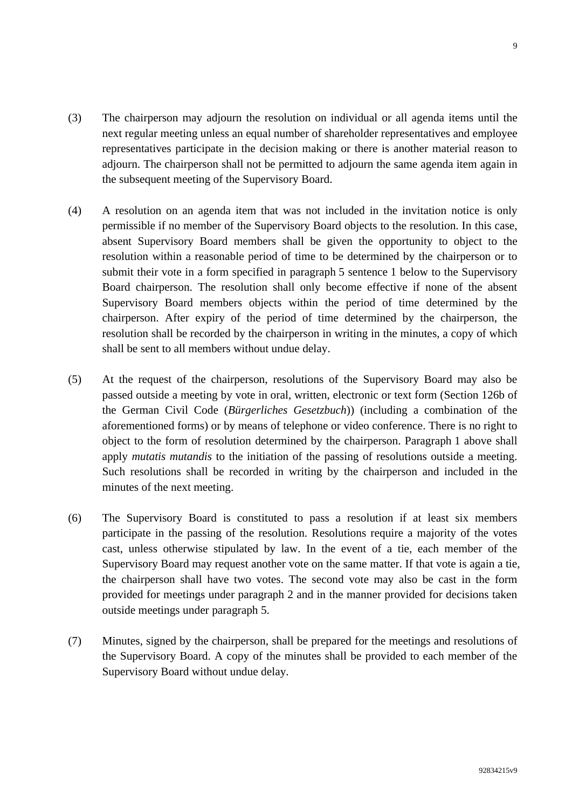- (3) The chairperson may adjourn the resolution on individual or all agenda items until the next regular meeting unless an equal number of shareholder representatives and employee representatives participate in the decision making or there is another material reason to adjourn. The chairperson shall not be permitted to adjourn the same agenda item again in the subsequent meeting of the Supervisory Board.
- (4) A resolution on an agenda item that was not included in the invitation notice is only permissible if no member of the Supervisory Board objects to the resolution. In this case, absent Supervisory Board members shall be given the opportunity to object to the resolution within a reasonable period of time to be determined by the chairperson or to submit their vote in a form specified in paragraph 5 sentence 1 below to the Supervisory Board chairperson. The resolution shall only become effective if none of the absent Supervisory Board members objects within the period of time determined by the chairperson. After expiry of the period of time determined by the chairperson, the resolution shall be recorded by the chairperson in writing in the minutes, a copy of which shall be sent to all members without undue delay.
- (5) At the request of the chairperson, resolutions of the Supervisory Board may also be passed outside a meeting by vote in oral, written, electronic or text form (Section 126b of the German Civil Code (*Bürgerliches Gesetzbuch*)) (including a combination of the aforementioned forms) or by means of telephone or video conference. There is no right to object to the form of resolution determined by the chairperson. Paragraph 1 above shall apply *mutatis mutandis* to the initiation of the passing of resolutions outside a meeting. Such resolutions shall be recorded in writing by the chairperson and included in the minutes of the next meeting.
- (6) The Supervisory Board is constituted to pass a resolution if at least six members participate in the passing of the resolution. Resolutions require a majority of the votes cast, unless otherwise stipulated by law. In the event of a tie, each member of the Supervisory Board may request another vote on the same matter. If that vote is again a tie, the chairperson shall have two votes. The second vote may also be cast in the form provided for meetings under paragraph 2 and in the manner provided for decisions taken outside meetings under paragraph 5.
- (7) Minutes, signed by the chairperson, shall be prepared for the meetings and resolutions of the Supervisory Board. A copy of the minutes shall be provided to each member of the Supervisory Board without undue delay.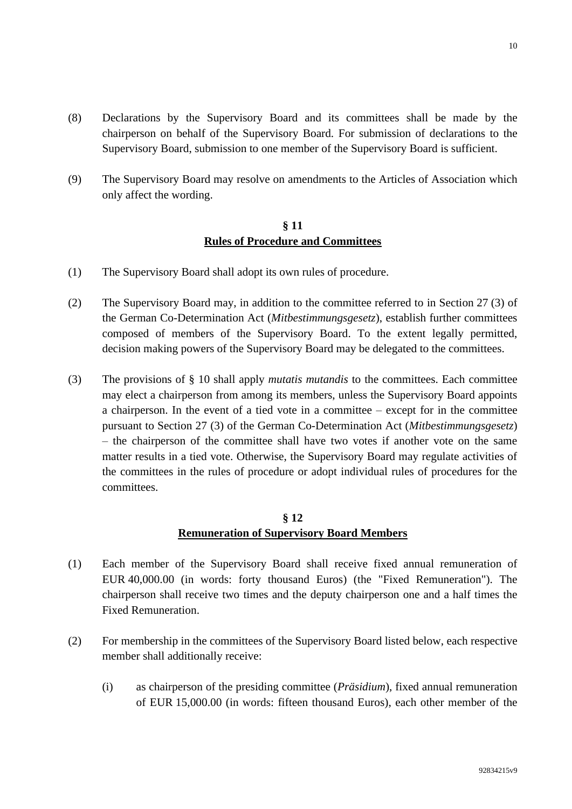- (8) Declarations by the Supervisory Board and its committees shall be made by the chairperson on behalf of the Supervisory Board. For submission of declarations to the Supervisory Board, submission to one member of the Supervisory Board is sufficient.
- (9) The Supervisory Board may resolve on amendments to the Articles of Association which only affect the wording.

## **§ 11 Rules of Procedure and Committees**

- (1) The Supervisory Board shall adopt its own rules of procedure.
- (2) The Supervisory Board may, in addition to the committee referred to in Section 27 (3) of the German Co-Determination Act (*Mitbestimmungsgesetz*), establish further committees composed of members of the Supervisory Board. To the extent legally permitted, decision making powers of the Supervisory Board may be delegated to the committees.
- (3) The provisions of § 10 shall apply *mutatis mutandis* to the committees. Each committee may elect a chairperson from among its members, unless the Supervisory Board appoints a chairperson. In the event of a tied vote in a committee – except for in the committee pursuant to Section 27 (3) of the German Co-Determination Act (*Mitbestimmungsgesetz*) – the chairperson of the committee shall have two votes if another vote on the same matter results in a tied vote. Otherwise, the Supervisory Board may regulate activities of the committees in the rules of procedure or adopt individual rules of procedures for the committees.

## **§ 12 Remuneration of Supervisory Board Members**

- (1) Each member of the Supervisory Board shall receive fixed annual remuneration of EUR 40,000.00 (in words: forty thousand Euros) (the "Fixed Remuneration"). The chairperson shall receive two times and the deputy chairperson one and a half times the Fixed Remuneration.
- (2) For membership in the committees of the Supervisory Board listed below, each respective member shall additionally receive:
	- (i) as chairperson of the presiding committee (*Präsidium*), fixed annual remuneration of EUR 15,000.00 (in words: fifteen thousand Euros), each other member of the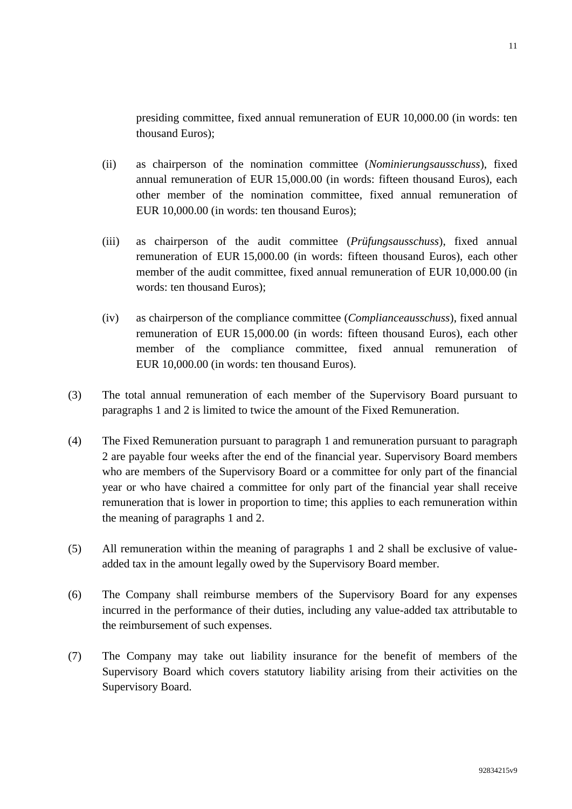presiding committee, fixed annual remuneration of EUR 10,000.00 (in words: ten thousand Euros);

- (ii) as chairperson of the nomination committee (*Nominierungsausschuss*), fixed annual remuneration of EUR 15,000.00 (in words: fifteen thousand Euros), each other member of the nomination committee, fixed annual remuneration of EUR 10,000.00 (in words: ten thousand Euros);
- (iii) as chairperson of the audit committee (*Prüfungsausschuss*), fixed annual remuneration of EUR 15,000.00 (in words: fifteen thousand Euros), each other member of the audit committee, fixed annual remuneration of EUR 10,000.00 (in words: ten thousand Euros);
- (iv) as chairperson of the compliance committee (*Complianceausschuss*), fixed annual remuneration of EUR 15,000.00 (in words: fifteen thousand Euros), each other member of the compliance committee, fixed annual remuneration of EUR 10,000.00 (in words: ten thousand Euros).
- (3) The total annual remuneration of each member of the Supervisory Board pursuant to paragraphs 1 and 2 is limited to twice the amount of the Fixed Remuneration.
- (4) The Fixed Remuneration pursuant to paragraph 1 and remuneration pursuant to paragraph 2 are payable four weeks after the end of the financial year. Supervisory Board members who are members of the Supervisory Board or a committee for only part of the financial year or who have chaired a committee for only part of the financial year shall receive remuneration that is lower in proportion to time; this applies to each remuneration within the meaning of paragraphs 1 and 2.
- (5) All remuneration within the meaning of paragraphs 1 and 2 shall be exclusive of valueadded tax in the amount legally owed by the Supervisory Board member.
- (6) The Company shall reimburse members of the Supervisory Board for any expenses incurred in the performance of their duties, including any value-added tax attributable to the reimbursement of such expenses.
- (7) The Company may take out liability insurance for the benefit of members of the Supervisory Board which covers statutory liability arising from their activities on the Supervisory Board.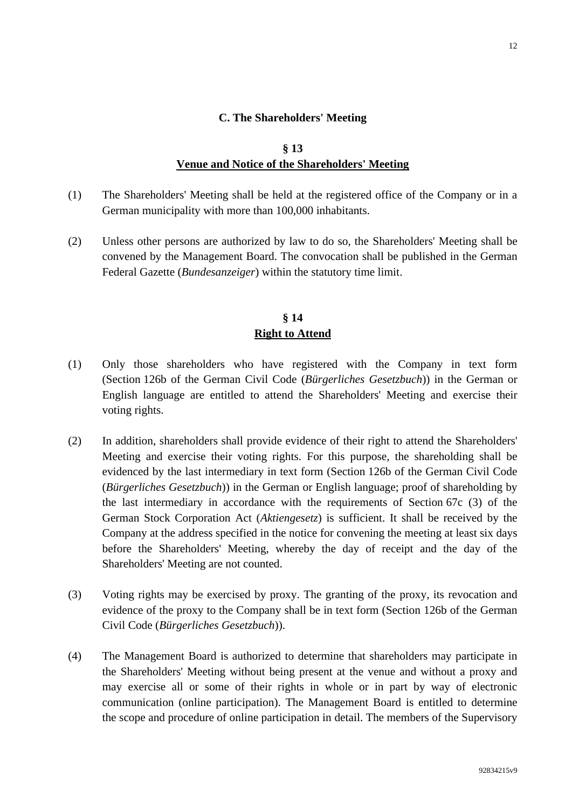#### **C. The Shareholders' Meeting**

## **§ 13 Venue and Notice of the Shareholders' Meeting**

- (1) The Shareholders' Meeting shall be held at the registered office of the Company or in a German municipality with more than 100,000 inhabitants.
- (2) Unless other persons are authorized by law to do so, the Shareholders' Meeting shall be convened by the Management Board. The convocation shall be published in the German Federal Gazette (*Bundesanzeiger*) within the statutory time limit.

#### **§ 14 Right to Attend**

- (1) Only those shareholders who have registered with the Company in text form (Section 126b of the German Civil Code (*Bürgerliches Gesetzbuch*)) in the German or English language are entitled to attend the Shareholders' Meeting and exercise their voting rights.
- (2) In addition, shareholders shall provide evidence of their right to attend the Shareholders' Meeting and exercise their voting rights. For this purpose, the shareholding shall be evidenced by the last intermediary in text form (Section 126b of the German Civil Code (*Bürgerliches Gesetzbuch*)) in the German or English language; proof of shareholding by the last intermediary in accordance with the requirements of Section 67c (3) of the German Stock Corporation Act (*Aktiengesetz*) is sufficient. It shall be received by the Company at the address specified in the notice for convening the meeting at least six days before the Shareholders' Meeting, whereby the day of receipt and the day of the Shareholders' Meeting are not counted.
- (3) Voting rights may be exercised by proxy. The granting of the proxy, its revocation and evidence of the proxy to the Company shall be in text form (Section 126b of the German Civil Code (*Bürgerliches Gesetzbuch*)).
- (4) The Management Board is authorized to determine that shareholders may participate in the Shareholders' Meeting without being present at the venue and without a proxy and may exercise all or some of their rights in whole or in part by way of electronic communication (online participation). The Management Board is entitled to determine the scope and procedure of online participation in detail. The members of the Supervisory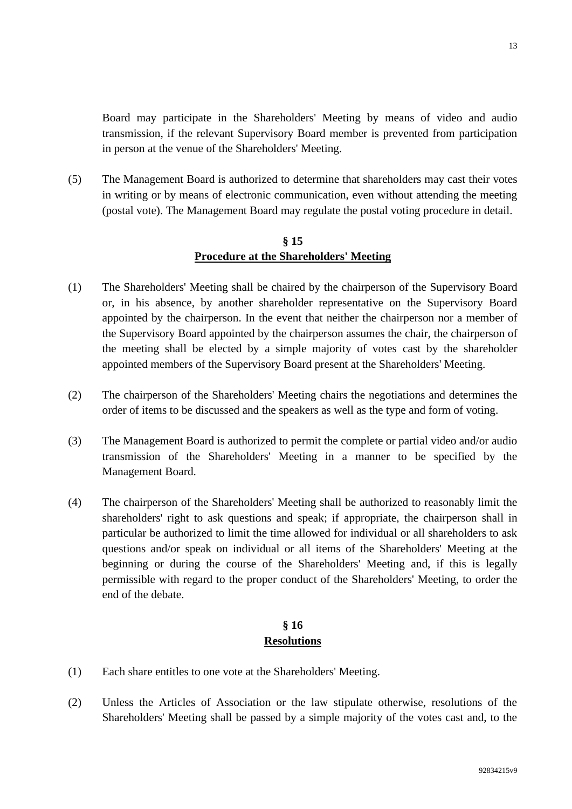Board may participate in the Shareholders' Meeting by means of video and audio transmission, if the relevant Supervisory Board member is prevented from participation in person at the venue of the Shareholders' Meeting.

(5) The Management Board is authorized to determine that shareholders may cast their votes in writing or by means of electronic communication, even without attending the meeting (postal vote). The Management Board may regulate the postal voting procedure in detail.

## **§ 15 Procedure at the Shareholders' Meeting**

- (1) The Shareholders' Meeting shall be chaired by the chairperson of the Supervisory Board or, in his absence, by another shareholder representative on the Supervisory Board appointed by the chairperson. In the event that neither the chairperson nor a member of the Supervisory Board appointed by the chairperson assumes the chair, the chairperson of the meeting shall be elected by a simple majority of votes cast by the shareholder appointed members of the Supervisory Board present at the Shareholders' Meeting.
- (2) The chairperson of the Shareholders' Meeting chairs the negotiations and determines the order of items to be discussed and the speakers as well as the type and form of voting.
- (3) The Management Board is authorized to permit the complete or partial video and/or audio transmission of the Shareholders' Meeting in a manner to be specified by the Management Board.
- (4) The chairperson of the Shareholders' Meeting shall be authorized to reasonably limit the shareholders' right to ask questions and speak; if appropriate, the chairperson shall in particular be authorized to limit the time allowed for individual or all shareholders to ask questions and/or speak on individual or all items of the Shareholders' Meeting at the beginning or during the course of the Shareholders' Meeting and, if this is legally permissible with regard to the proper conduct of the Shareholders' Meeting, to order the end of the debate.

## **§ 16 Resolutions**

- (1) Each share entitles to one vote at the Shareholders' Meeting.
- (2) Unless the Articles of Association or the law stipulate otherwise, resolutions of the Shareholders' Meeting shall be passed by a simple majority of the votes cast and, to the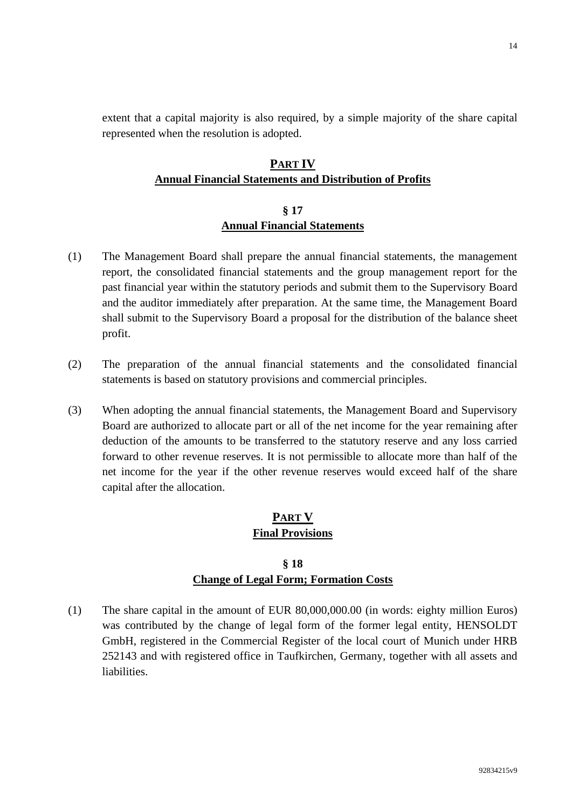extent that a capital majority is also required, by a simple majority of the share capital represented when the resolution is adopted.

# **PART IV Annual Financial Statements and Distribution of Profits**

#### **§ 17 Annual Financial Statements**

- (1) The Management Board shall prepare the annual financial statements, the management report, the consolidated financial statements and the group management report for the past financial year within the statutory periods and submit them to the Supervisory Board and the auditor immediately after preparation. At the same time, the Management Board shall submit to the Supervisory Board a proposal for the distribution of the balance sheet profit.
- (2) The preparation of the annual financial statements and the consolidated financial statements is based on statutory provisions and commercial principles.
- (3) When adopting the annual financial statements, the Management Board and Supervisory Board are authorized to allocate part or all of the net income for the year remaining after deduction of the amounts to be transferred to the statutory reserve and any loss carried forward to other revenue reserves. It is not permissible to allocate more than half of the net income for the year if the other revenue reserves would exceed half of the share capital after the allocation.

# **PART V Final Provisions**

# **§ 18 Change of Legal Form; Formation Costs**

(1) The share capital in the amount of EUR 80,000,000.00 (in words: eighty million Euros) was contributed by the change of legal form of the former legal entity, HENSOLDT GmbH, registered in the Commercial Register of the local court of Munich under HRB 252143 and with registered office in Taufkirchen, Germany, together with all assets and liabilities.